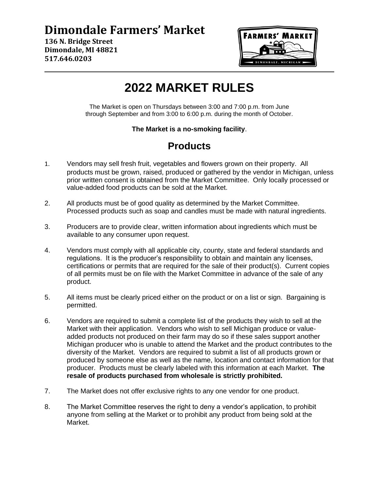## **Dimondale Farmers' Market**

**136 N. Bridge Street Dimondale, MI 48821 517.646.0203**



# **2022 MARKET RULES**

The Market is open on Thursdays between 3:00 and 7:00 p.m. from June through September and from 3:00 to 6:00 p.m. during the month of October.

#### **The Market is a no-smoking facility**.

### **Products**

- 1. Vendors may sell fresh fruit, vegetables and flowers grown on their property. All products must be grown, raised, produced or gathered by the vendor in Michigan, unless prior written consent is obtained from the Market Committee. Only locally processed or value-added food products can be sold at the Market.
- 2. All products must be of good quality as determined by the Market Committee. Processed products such as soap and candles must be made with natural ingredients.
- 3. Producers are to provide clear, written information about ingredients which must be available to any consumer upon request.
- 4. Vendors must comply with all applicable city, county, state and federal standards and regulations. It is the producer's responsibility to obtain and maintain any licenses, certifications or permits that are required for the sale of their product(s). Current copies of all permits must be on file with the Market Committee in advance of the sale of any product.
- 5. All items must be clearly priced either on the product or on a list or sign. Bargaining is permitted.
- 6. Vendors are required to submit a complete list of the products they wish to sell at the Market with their application. Vendors who wish to sell Michigan produce or valueadded products not produced on their farm may do so if these sales support another Michigan producer who is unable to attend the Market and the product contributes to the diversity of the Market. Vendors are required to submit a list of all products grown or produced by someone else as well as the name, location and contact information for that producer. Products must be clearly labeled with this information at each Market. **The resale of products purchased from wholesale is strictly prohibited.**
- 7. The Market does not offer exclusive rights to any one vendor for one product.
- 8. The Market Committee reserves the right to deny a vendor's application, to prohibit anyone from selling at the Market or to prohibit any product from being sold at the Market.